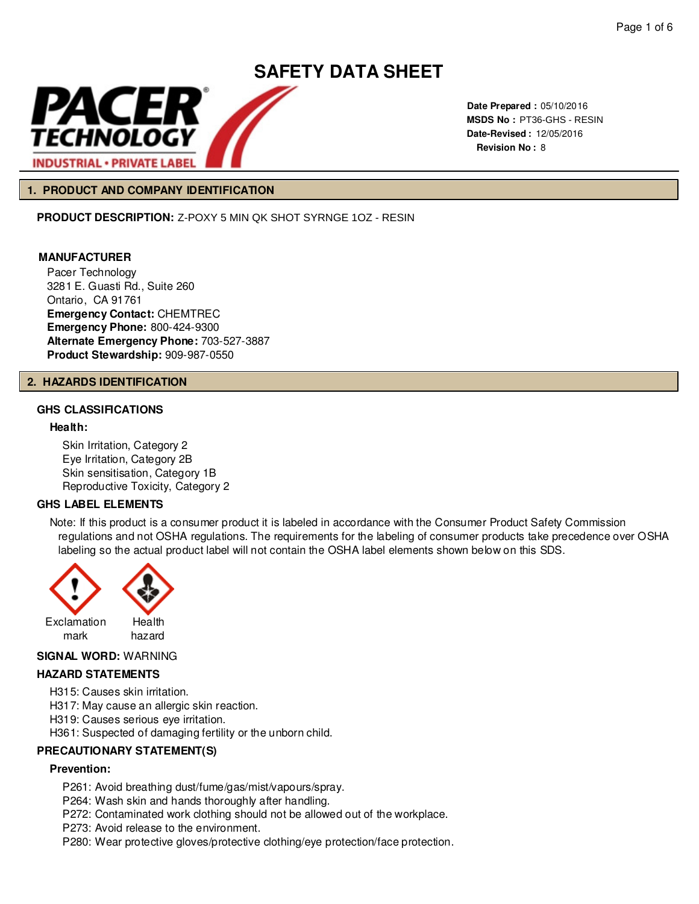

**Date Prepared :** 05/10/2016 **MSDS No :**  PT36-GHS - RESIN **Date-Revised :** 12/05/2016 **Revision No :** 8

### **1. PRODUCT AND COMPANY IDENTIFICATION**

**PRODUCT DESCRIPTION:** Z-POXY 5 MIN QK SHOT SYRNGE 1OZ - RESIN

## **MANUFACTURER**

Pacer Technology 3281 E. Guasti Rd., Suite 260 Ontario, CA 91761 **Emergency Contact:** CHEMTREC **Emergency Phone:** 800-424-9300 **Alternate Emergency Phone:** 703-527-3887 **Product Stewardship:** 909-987-0550

#### **2. HAZARDS IDENTIFICATION**

# **GHS CLASSIFICATIONS**

#### **Health:**

Skin Irritation, Category 2 Eye Irritation, Category 2B Skin sensitisation, Category 1B Reproductive Toxicity, Category 2

# **GHS LABEL ELEMENTS**

Note: If this product is a consumer product it is labeled in accordance with the Consumer Product Safety Commission regulations and not OSHA regulations. The requirements for the labeling of consumer products take precedence over OSHA labeling so the actual product label will not contain the OSHA label elements shown below on this SDS.



#### **SIGNAL WORD:** WARNING

# **HAZARD STATEMENTS**

H315: Causes skin irritation.

H317: May cause an allergic skin reaction.

H319: Causes serious eye irritation.

H361: Suspected of damaging fertility or the unborn child.

# **PRECAUTIONARY STATEMENT(S)**

#### **Prevention:**

P261: Avoid breathing dust/fume/gas/mist/vapours/spray.

P264: Wash skin and hands thoroughly after handling.

P272: Contaminated work clothing should not be allowed out of the workplace.

- P273: Avoid release to the environment.
- P280: Wear protective gloves/protective clothing/eye protection/face protection.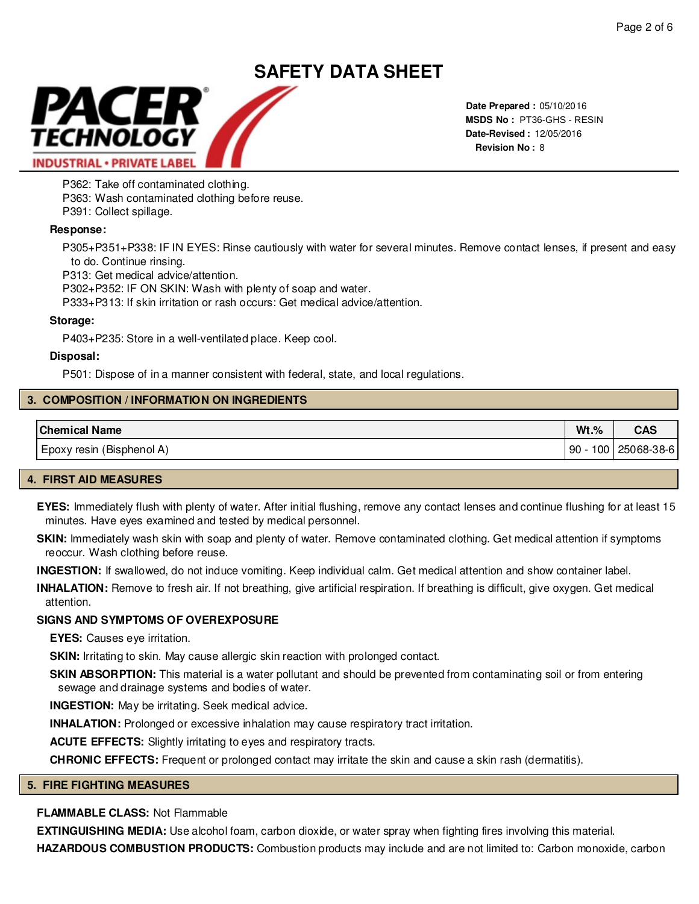

**Date Prepared :** 05/10/2016 **MSDS No :**  PT36-GHS - RESIN**Date-Revised :** 12/05/2016 **Revision No :** 8

P362: Take off contaminated clothing.

P363: Wash contaminated clothing before reuse.

P391: Collect spillage.

# **Response:**

P305+P351+P338: IF IN EYES: Rinse cautiously with water for several minutes. Remove contact lenses, if present and easy to do. Continue rinsing.

P313: Get medical advice/attention.

P302+P352: IF ON SKIN: Wash with plenty of soap and water.

P333+P313: If skin irritation or rash occurs: Get medical advice/attention.

# **Storage:**

P403+P235: Store in a well-ventilated place. Keep cool.

#### **Disposal:**

P501: Dispose of in a manner consistent with federal, state, and local regulations.

# **3. COMPOSITION / INFORMATION ON INGREDIENTS**

| <b>Chemical Name</b>      | $Wt.$ %   | CAS        |
|---------------------------|-----------|------------|
| Epoxy resin (Bisphenol A) | 100<br>90 | 25068-38-6 |

# **4. FIRST AID MEASURES**

**EYES:** Immediately flush with plenty of water. After initial flushing, remove any contact lenses and continue flushing for at least 15 minutes. Have eyes examined and tested by medical personnel.

SKIN: Immediately wash skin with soap and plenty of water. Remove contaminated clothing. Get medical attention if symptoms reoccur. Wash clothing before reuse.

**INGESTION:** If swallowed, do not induce vomiting. Keep individual calm. Get medical attention and show container label.

**INHALATION:** Remove to fresh air. If not breathing, give artificial respiration. If breathing is difficult, give oxygen. Get medical attention.

# **SIGNS AND SYMPTOMS OF OVEREXPOSURE**

**EYES:** Causes eye irritation.

**SKIN:** Irritating to skin. May cause allergic skin reaction with prolonged contact.

**SKIN ABSORPTION:** This material is a water pollutant and should be prevented from contaminating soil or from entering sewage and drainage systems and bodies of water.

**INGESTION:** May be irritating. Seek medical advice.

**INHALATION:** Prolonged or excessive inhalation may cause respiratory tract irritation.

**ACUTE EFFECTS:** Slightly irritating to eyes and respiratory tracts.

**CHRONIC EFFECTS:** Frequent or prolonged contact may irritate the skin and cause a skin rash (dermatitis).

# **5. FIRE FIGHTING MEASURES**

# **FLAMMABLE CLASS:** Not Flammable

**EXTINGUISHING MEDIA:** Use alcohol foam, carbon dioxide, or water spray when fighting fires involving this material.

**HAZARDOUS COMBUSTION PRODUCTS:** Combustion products may include and are not limited to: Carbon monoxide, carbon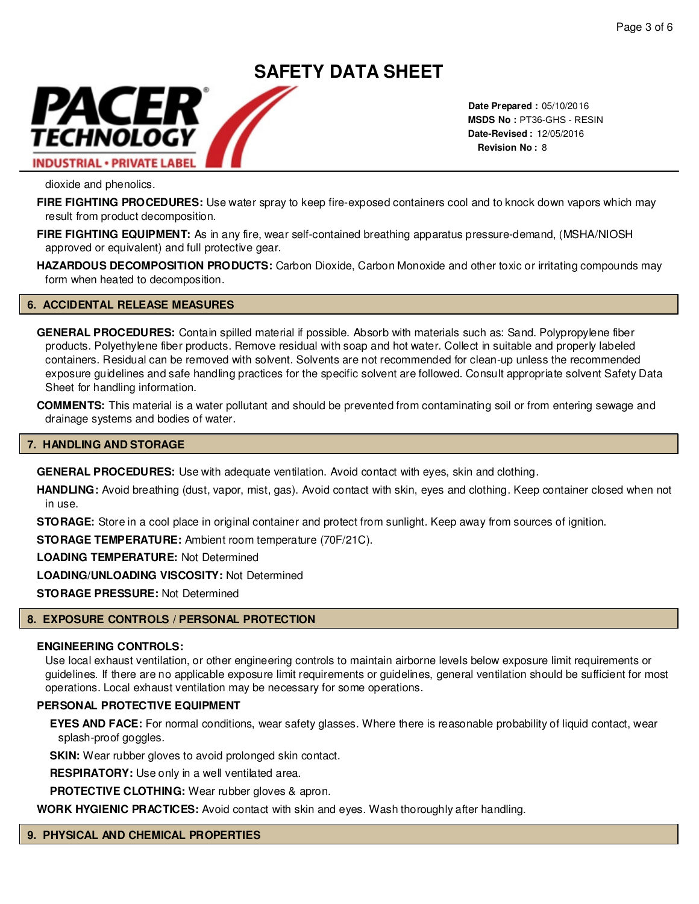# **SAFETY DATA SHEET** PACER TECHNOLOGY **INDUSTRIAL · PRIVATE LABEL**

**Date Prepared :** 05/10/2016 **MSDS No :**  PT36-GHS - RESIN**Date-Revised :** 12/05/2016 **Revision No :** 8

dioxide and phenolics.

**FIRE FIGHTING PROCEDURES:** Use water spray to keep fire-exposed containers cool and to knock down vapors which may result from product decomposition.

**FIRE FIGHTING EQUIPMENT:** As in any fire, wear self-contained breathing apparatus pressure-demand, (MSHA/NIOSH approved or equivalent) and full protective gear.

**HAZARDOUS DECOMPOSITION PRODUCTS:** Carbon Dioxide, Carbon Monoxide and other toxic or irritating compounds may form when heated to decomposition.

# **6. ACCIDENTAL RELEASE MEASURES**

**GENERAL PROCEDURES:** Contain spilled material if possible. Absorb with materials such as: Sand. Polypropylene fiber products. Polyethylene fiber products. Remove residual with soap and hot water. Collect in suitable and properly labeled containers. Residual can be removed with solvent. Solvents are not recommended for clean-up unless the recommended exposure guidelines and safe handling practices for the specific solvent are followed. Consult appropriate solvent Safety Data Sheet for handling information.

**COMMENTS:** This material is a water pollutant and should be prevented from contaminating soil or from entering sewage and drainage systems and bodies of water.

#### **7. HANDLING AND STORAGE**

**GENERAL PROCEDURES:** Use with adequate ventilation. Avoid contact with eyes, skin and clothing.

**HANDLING:** Avoid breathing (dust, vapor, mist, gas). Avoid contact with skin, eyes and clothing. Keep container closed when not in use.

**STORAGE:** Store in a cool place in original container and protect from sunlight. Keep away from sources of ignition.

**STORAGE TEMPERATURE:** Ambient room temperature (70F/21C).

**LOADING TEMPERATURE:** Not Determined

**LOADING/UNLOADING VISCOSITY:** Not Determined

**STORAGE PRESSURE:** Not Determined

# **8. EXPOSURE CONTROLS / PERSONAL PROTECTION**

#### **ENGINEERING CONTROLS:**

Use local exhaust ventilation, or other engineering controls to maintain airborne levels below exposure limit requirements or guidelines. If there are no applicable exposure limit requirements or guidelines, general ventilation should be sufficient for most operations. Local exhaust ventilation may be necessary for some operations.

#### **PERSONAL PROTECTIVE EQUIPMENT**

**EYES AND FACE:** For normal conditions, wear safety glasses. Where there is reasonable probability of liquid contact, wear splash-proof goggles.

**SKIN:** Wear rubber gloves to avoid prolonged skin contact.

**RESPIRATORY:** Use only in a well ventilated area.

**PROTECTIVE CLOTHING:** Wear rubber gloves & apron.

**WORK HYGIENIC PRACTICES:** Avoid contact with skin and eyes. Wash thoroughly after handling.

#### **9. PHYSICAL AND CHEMICAL PROPERTIES**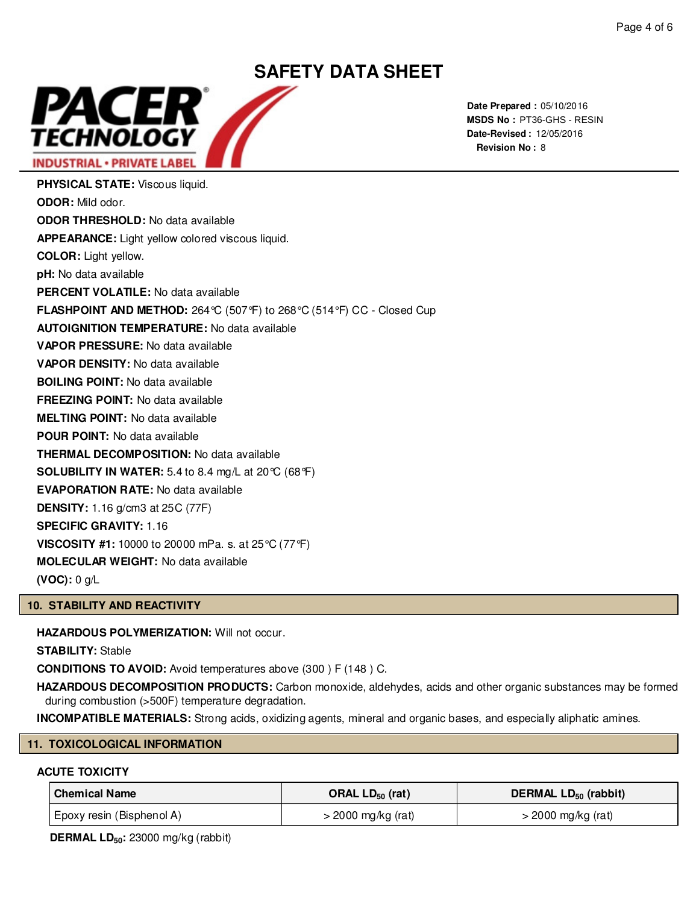

**Date Prepared :** 05/10/2016 **MSDS No :**  PT36-GHS - RESIN**Date-Revised :** 12/05/2016 **Revision No :** 8

**PHYSICAL STATE:** Viscous liquid. **ODOR:** Mild odor. **ODOR THRESHOLD:** No data available **APPEARANCE:** Light yellow colored viscous liquid. **COLOR:** Light yellow. **pH:** No data available **PERCENT VOLATILE:** No data available **FLASHPOINT AND METHOD:** 264°C (507°F) to 268°C (514°F) CC - Closed Cup **AUTOIGNITION TEMPERATURE:** No data available **VAPOR PRESSURE:** No data available **VAPOR DENSITY:** No data available **BOILING POINT:** No data available **FREEZING POINT:** No data available **MELTING POINT:** No data available **POUR POINT:** No data available **THERMAL DECOMPOSITION:** No data available **SOLUBILITY IN WATER:** 5.4 to 8.4 mg/L at 20°C (68°F) **EVAPORATION RATE:** No data available **DENSITY:** 1.16 g/cm3 at 25C (77F) **SPECIFIC GRAVITY:** 1.16 **VISCOSITY #1:** 10000 to 20000 mPa. s. at 25°C (77°F) **MOLECULAR WEIGHT:** No data available

**(VOC):** 0 g/L

# **10. STABILITY AND REACTIVITY**

**HAZARDOUS POLYMERIZATION:** Will not occur.

**STABILITY:** Stable

**CONDITIONS TO AVOID:** Avoid temperatures above (300 ) F (148 ) C.

**HAZARDOUS DECOMPOSITION PRODUCTS:** Carbon monoxide, aldehydes, acids and other organic substances may be formed during combustion (>500F) temperature degradation.

**INCOMPATIBLE MATERIALS:** Strong acids, oxidizing agents, mineral and organic bases, and especially aliphatic amines.

#### **11. TOXICOLOGICAL INFORMATION**

# **ACUTE TOXICITY**

| <b>Chemical Name</b>      | ORAL $LD_{50}$ (rat) | DERMAL LD <sub>50</sub> (rabbit) |
|---------------------------|----------------------|----------------------------------|
| Epoxy resin (Bisphenol A) | $>$ 2000 mg/kg (rat) | $>$ 2000 mg/kg (rat)             |

**DERMAL LD50:** 23000 mg/kg (rabbit)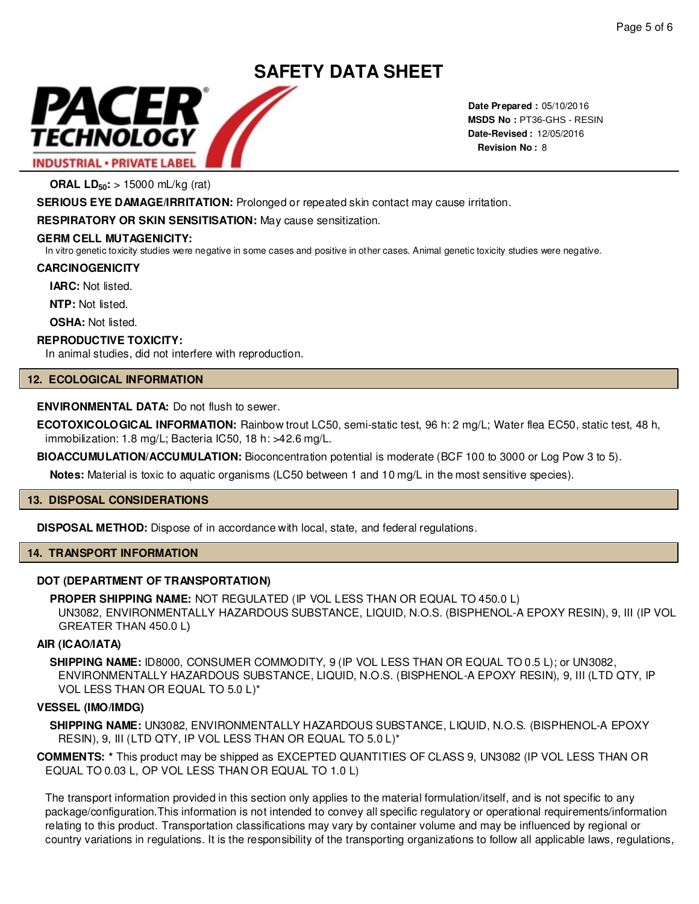

**Date Prepared :** 05/10/2016 **MSDS No : PT36-GHS - RESIN Date-Revised :** 12/05/2016 **Revision No :** 8

**ORAL LD50:** > 15000 mL/kg (rat)

**SERIOUS EYE DAMAGE/IRRITATION:** Prolonged or repeated skin contact may cause irritation.

**RESPIRATORY OR SKIN SENSITISATION:** May cause sensitization.

# **GERM CELL MUTAGENICITY:**

In vitro genetic toxicity studies were negative in some cases and positive in other cases. Animal genetic toxicity studies were negative.

# **CARCINOGENICITY**

**IARC:** Not listed.

**NTP:** Not listed.

**OSHA: Not listed.** 

# **REPRODUCTIVE TOXICITY:**

In animal studies, did not interfere with reproduction.

# **12. ECOLOGICAL INFORMATION**

# **ENVIRONMENTAL DATA:** Do not flush to sewer.

**ECOTOXICOLOGICAL INFORMATION:** Rainbow trout LC50, semi-static test, 96 h: 2 mg/L; Water flea EC50, static test, 48 h, immobilization: 1.8 mg/L; Bacteria IC50, 18 h: >42.6 mg/L.

**BIOACCUMULATION/ACCUMULATION:** Bioconcentration potential is moderate (BCF 100 to 3000 or Log Pow 3 to 5).

**Notes:** Material is toxic to aquatic organisms (LC50 between 1 and 10 mg/L in the most sensitive species).

# **13. DISPOSAL CONSIDERATIONS**

**DISPOSAL METHOD:** Dispose of in accordance with local, state, and federal regulations.

# **14. TRANSPORT INFORMATION**

# **DOT (DEPARTMENT OF TRANSPORTATION)**

**PROPER SHIPPING NAME:** NOT REGULATED (IP VOL LESS THAN OR EQUAL TO 450.0 L) UN3082, ENVIRONMENTALLY HAZARDOUS SUBSTANCE, LIQUID, N.O.S. (BISPHENOL-A EPOXY RESIN), 9, III (IP VOL STRIAL - PRIVATE LABEL<br>
STRIAL - PRIVATE LABEL<br>
RAL LD<sub>56</sub>'s - 15000 mL/kg (rai)<br>
RAL LD<sub>56</sub>'s - 15000 mL/kg (rai)<br>
NDN BYEY DAMAGEIRRITATION: Prolonged or repeated skin contact may cause irritation.<br>
IMPATORY OR SKIN SENS

# **AIR (ICAO/IATA)**

**SHIPPING NAME:** ID8000, CONSUMER COMMODITY, 9 (IP VOL LESS THAN OR EQUAL TO 0.5 L); or UN3082, ENVIRONMENTALLY HAZARDOUS SUBSTANCE, LIQUID, N.O.S. (BISPHENOL-A EPOXY RESIN), 9, III (LTD QTY, IP VOL LESS THAN OR EQUAL TO 5.0 L)\*

# **VESSEL (IMO/IMDG)**

**SHIPPING NAME:** UN3082, ENVIRONMENTALLY HAZARDOUS SUBSTANCE, LIQUID, N.O.S. (BISPHENOL-A EPOXY RESIN), 9, III (LTD QTY, IP VOL LESS THAN OR EQUAL TO 5.0 L)\*

**COMMENTS: \*** This product may be shipped as EXCEPTED QUANTITIES OF CLASS 9, UN3082 (IP VOL LESS THAN OR EQUAL TO 0.03 L, OP VOL LESS THAN OR EQUAL TO 1.0 L)

The transport information provided in this section only applies to the material formulation/itself, and is not specific to any package/configuration.This information is not intended to convey all specific regulatory or operational requirements/information relating to this product. Transportation classifications may vary by container volume and may be influenced by regional or country variations in regulations. It is the responsibility of the transporting organizations to follow all applicable laws, regulations,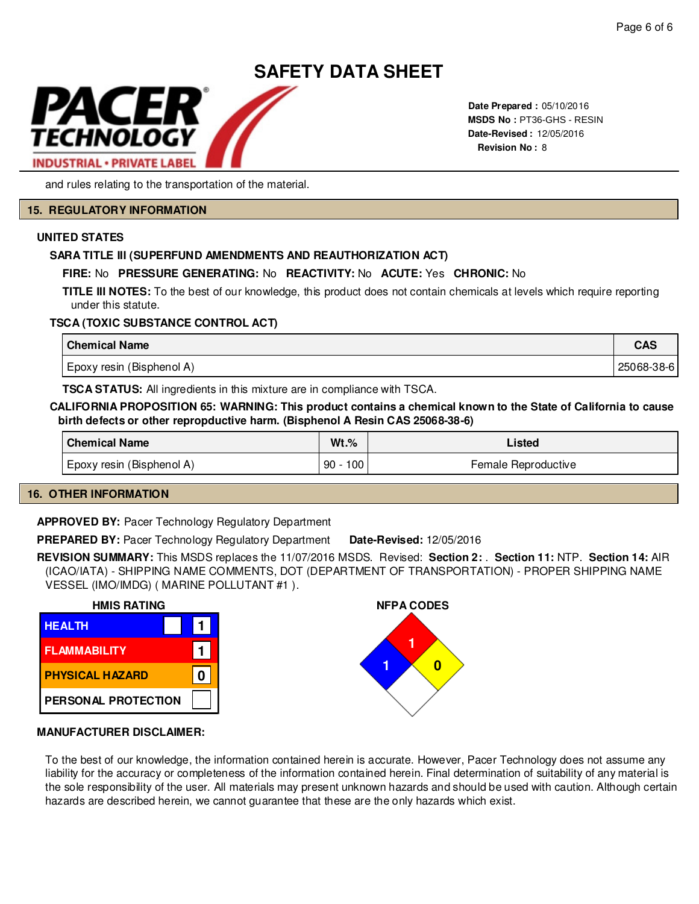

**Date Prepared :** 05/10/2016 **MSDS No :**  PT36-GHS - RESIN**Date-Revised :** 12/05/2016 **Revision No :** 8

and rules relating to the transportation of the material.

#### **15. REGULATORY INFORMATION**

#### **UNITED STATES**

# **SARA TITLE III (SUPERFUND AMENDMENTS AND REAUTHORIZATION ACT)**

# **FIRE:** No **PRESSURE GENERATING:** No **REACTIVITY:** No **ACUTE:** Yes **CHRONIC:** No

**TITLE III NOTES:** To the best of our knowledge, this product does not contain chemicals at levels which require reporting under this statute.

# **TSCA (TOXIC SUBSTANCE CONTROL ACT)**

| <b>Chemical Name</b>      | <b>CAS</b> |
|---------------------------|------------|
| Epoxy resin (Bisphenol A) | 25068-38-6 |

**TSCA STATUS:** All ingredients in this mixture are in compliance with TSCA.

### **CALIFORNIA PROPOSITION 65: WARNING: This product contains a chemical known to the State of California to cause birth defects or other repropductive harm. (Bisphenol A Resin CAS 25068-38-6)**

| <b>Chemical Name</b>      | $Wt.\%$   | Listed              |
|---------------------------|-----------|---------------------|
| Epoxy resin (Bisphenol A) | 100<br>90 | Female Reproductive |

# **16. OTHER INFORMATION**

**APPROVED BY:** Pacer Technology Regulatory Department

**PREPARED BY:** Pacer Technology Regulatory Department **Date-Revised:** 12/05/2016

**REVISION SUMMARY:** This MSDS replaces the 11/07/2016 MSDS. Revised: **Section 2:** . **Section 11:** NTP. **Section 14:** AIR (ICAO/IATA) - SHIPPING NAME COMMENTS, DOT (DEPARTMENT OF TRANSPORTATION) - PROPER SHIPPING NAME VESSEL (IMO/IMDG) ( MARINE POLLUTANT #1 ).





# **MANUFACTURER DISCLAIMER:**

To the best of our knowledge, the information contained herein is accurate. However, Pacer Technology does not assume any liability for the accuracy or completeness of the information contained herein. Final determination of suitability of any material is the sole responsibility of the user. All materials may present unknown hazards and should be used with caution. Although certain hazards are described herein, we cannot guarantee that these are the only hazards which exist.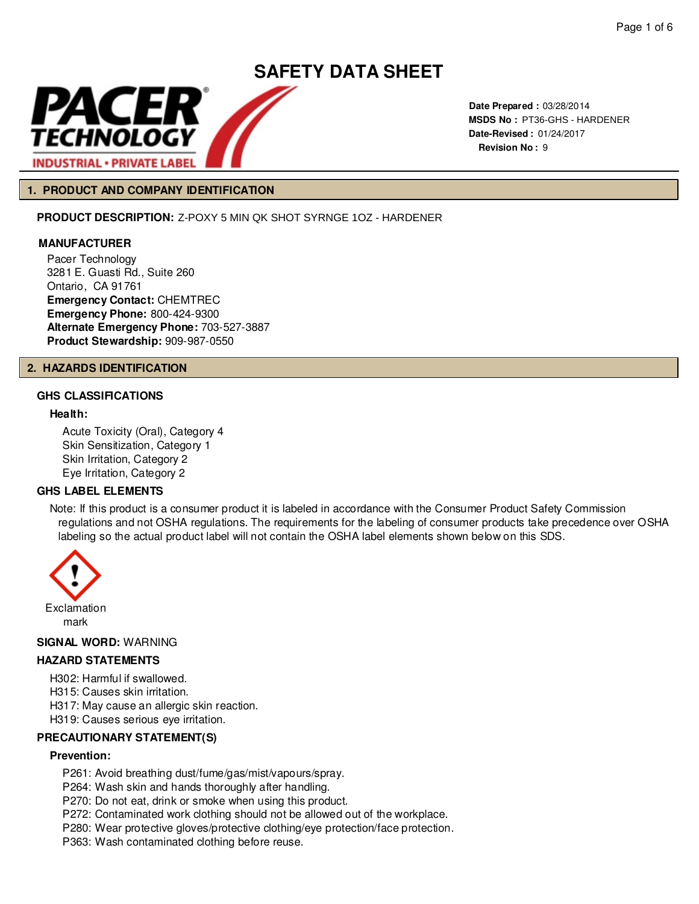

**Date Prepared :** 03/28/2014 **MSDS No :**  PT36-GHS - HARDENER **Date-Revised :** 01/24/2017 **Revision No :** 9

# **1. PRODUCT AND COMPANY IDENTIFICATION**

**PRODUCT DESCRIPTION:** Z-POXY 5 MIN QK SHOT SYRNGE 1OZ - HARDENER

#### **MANUFACTURER**

Pacer Technology 3281 E. Guasti Rd., Suite 260 Ontario, CA 91761 **Emergency Contact:** CHEMTREC **Emergency Phone:** 800-424-9300 **Alternate Emergency Phone:** 703-527-3887 **Product Stewardship:** 909-987-0550

#### **2. HAZARDS IDENTIFICATION**

# **GHS CLASSIFICATIONS**

# **Health:**

Acute Toxicity (Oral), Category 4 Skin Sensitization, Category 1 Skin Irritation, Category 2 Eye Irritation, Category 2

# **GHS LABEL ELEMENTS**

Note: If this product is a consumer product it is labeled in accordance with the Consumer Product Safety Commission regulations and not OSHA regulations. The requirements for the labeling of consumer products take precedence over OSHA labeling so the actual product label will not contain the OSHA label elements shown below on this SDS.



#### **SIGNAL WORD:** WARNING

#### **HAZARD STATEMENTS**

H302: Harmful if swallowed.

H315: Causes skin irritation.

H317: May cause an allergic skin reaction.

H319: Causes serious eye irritation.

#### **PRECAUTIONARY STATEMENT(S)**

#### **Prevention:**

P261: Avoid breathing dust/fume/gas/mist/vapours/spray.

P264: Wash skin and hands thoroughly after handling.

P270: Do not eat, drink or smoke when using this product.

P272: Contaminated work clothing should not be allowed out of the workplace.

P280: Wear protective gloves/protective clothing/eye protection/face protection.

P363: Wash contaminated clothing before reuse.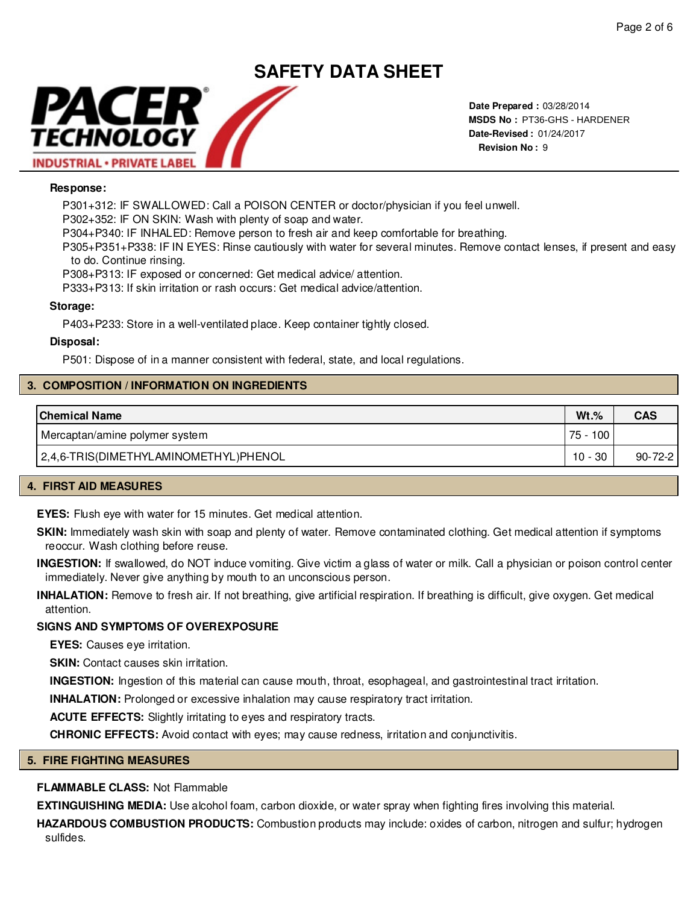# **SAFETY DATA SHEET** PACER TECHNOLOGY **INDUSTRIAL · PRIVATE LABEL**

**Date Prepared :** 03/28/2014 **MSDS No :**  PT36-GHS - HARDENER**Date-Revised :** 01/24/2017 **Revision No :** 9

# **Response:**

P301+312: IF SWALLOWED: Call a POISON CENTER or doctor/physician if you feel unwell.

P302+352: IF ON SKIN: Wash with plenty of soap and water.

P304+P340: IF INHALED: Remove person to fresh air and keep comfortable for breathing.

P305+P351+P338: IF IN EYES: Rinse cautiously with water for several minutes. Remove contact lenses, if present and easy to do. Continue rinsing.

P308+P313: IF exposed or concerned: Get medical advice/ attention.

P333+P313: If skin irritation or rash occurs: Get medical advice/attention.

# **Storage:**

P403+P233: Store in a well-ventilated place. Keep container tightly closed.

# **Disposal:**

P501: Dispose of in a manner consistent with federal, state, and local regulations.

# **3. COMPOSITION / INFORMATION ON INGREDIENTS**

| <b>Chemical Name</b>                  | $Wt.\%$  | <b>CAS</b>    |
|---------------------------------------|----------|---------------|
| Mercaptan/amine polymer system        | 75 - 100 |               |
| 2,4,6-TRIS(DIMETHYLAMINOMETHYL)PHENOL | 10 - 30  | $90 - 72 - 2$ |

# **4. FIRST AID MEASURES**

**EYES:** Flush eye with water for 15 minutes. Get medical attention.

**SKIN:** Immediately wash skin with soap and plenty of water. Remove contaminated clothing. Get medical attention if symptoms reoccur. Wash clothing before reuse.

**INGESTION:** If swallowed, do NOT induce vomiting. Give victim a glass of water or milk. Call a physician or poison control center immediately. Never give anything by mouth to an unconscious person.

**INHALATION:** Remove to fresh air. If not breathing, give artificial respiration. If breathing is difficult, give oxygen. Get medical attention.

# **SIGNS AND SYMPTOMS OF OVEREXPOSURE**

**EYES:** Causes eye irritation.

**SKIN:** Contact causes skin irritation.

**INGESTION:** Ingestion of this material can cause mouth, throat, esophageal, and gastrointestinal tract irritation.

**INHALATION:** Prolonged or excessive inhalation may cause respiratory tract irritation.

**ACUTE EFFECTS:** Slightly irritating to eyes and respiratory tracts.

**CHRONIC EFFECTS:** Avoid contact with eyes; may cause redness, irritation and conjunctivitis.

# **5. FIRE FIGHTING MEASURES**

# **FLAMMABLE CLASS:** Not Flammable

**EXTINGUISHING MEDIA:** Use alcohol foam, carbon dioxide, or water spray when fighting fires involving this material.

**HAZARDOUS COMBUSTION PRODUCTS:** Combustion products may include: oxides of carbon, nitrogen and sulfur; hydrogen sulfides.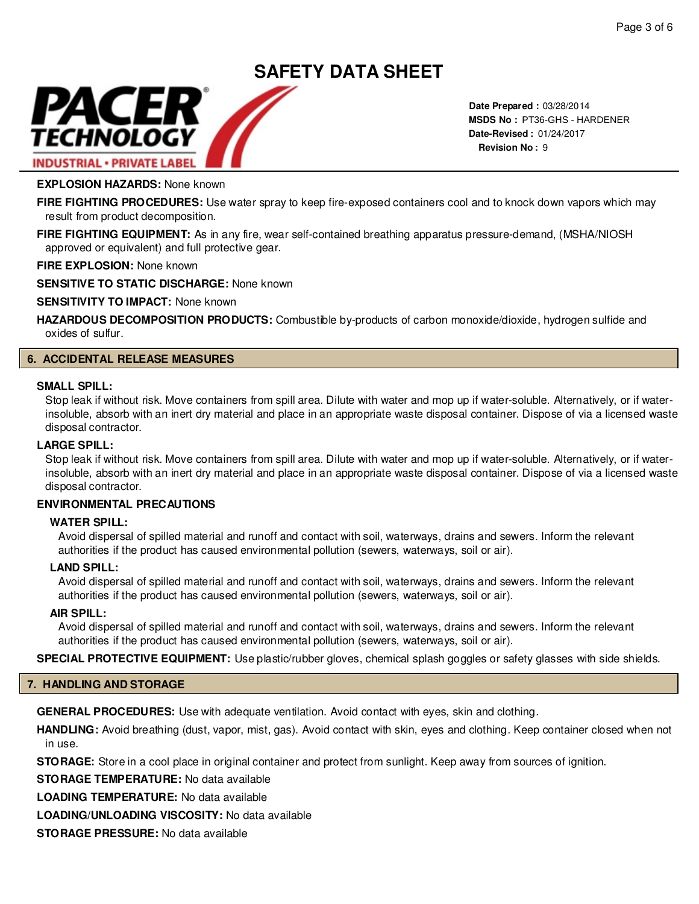# PACER TECHNOLOGY **INDUSTRIAL · PRIVATE LABEL**

**Date Prepared :** 03/28/2014 **MSDS No :**  PT36-GHS - HARDENER**Date-Revised :** 01/24/2017 **Revision No :** 9

# **EXPLOSION HAZARDS:** None known

**FIRE FIGHTING PROCEDURES:** Use water spray to keep fire-exposed containers cool and to knock down vapors which may result from product decomposition.

**SAFETY DATA SHEET**

**FIRE FIGHTING EQUIPMENT:** As in any fire, wear self-contained breathing apparatus pressure-demand, (MSHA/NIOSH approved or equivalent) and full protective gear.

**FIRE EXPLOSION:** None known

**SENSITIVE TO STATIC DISCHARGE:** None known

**SENSITIVITY TO IMPACT:** None known

**HAZARDOUS DECOMPOSITION PRODUCTS:** Combustible by-products of carbon monoxide/dioxide, hydrogen sulfide and oxides of sulfur.

# **6. ACCIDENTAL RELEASE MEASURES**

#### **SMALL SPILL:**

Stop leak if without risk. Move containers from spill area. Dilute with water and mop up if water-soluble. Alternatively, or if waterinsoluble, absorb with an inert dry material and place in an appropriate waste disposal container. Dispose of via a licensed waste disposal contractor.

# **LARGE SPILL:**

Stop leak if without risk. Move containers from spill area. Dilute with water and mop up if water-soluble. Alternatively, or if waterinsoluble, absorb with an inert dry material and place in an appropriate waste disposal container. Dispose of via a licensed waste disposal contractor.

# **ENVIRONMENTAL PRECAUTIONS**

#### **WATER SPILL:**

Avoid dispersal of spilled material and runoff and contact with soil, waterways, drains and sewers. Inform the relevant authorities if the product has caused environmental pollution (sewers, waterways, soil or air).

#### **LAND SPILL:**

Avoid dispersal of spilled material and runoff and contact with soil, waterways, drains and sewers. Inform the relevant authorities if the product has caused environmental pollution (sewers, waterways, soil or air).

#### **AIR SPILL:**

Avoid dispersal of spilled material and runoff and contact with soil, waterways, drains and sewers. Inform the relevant authorities if the product has caused environmental pollution (sewers, waterways, soil or air).

**SPECIAL PROTECTIVE EQUIPMENT:** Use plastic/rubber gloves, chemical splash goggles or safety glasses with side shields.

# **7. HANDLING AND STORAGE**

**GENERAL PROCEDURES:** Use with adequate ventilation. Avoid contact with eyes, skin and clothing.

**HANDLING:** Avoid breathing (dust, vapor, mist, gas). Avoid contact with skin, eyes and clothing. Keep container closed when not in use.

**STORAGE:** Store in a cool place in original container and protect from sunlight. Keep away from sources of ignition.

**STORAGE TEMPERATURE:** No data available

**LOADING TEMPERATURE:** No data available

**LOADING/UNLOADING VISCOSITY:** No data available

**STORAGE PRESSURE:** No data available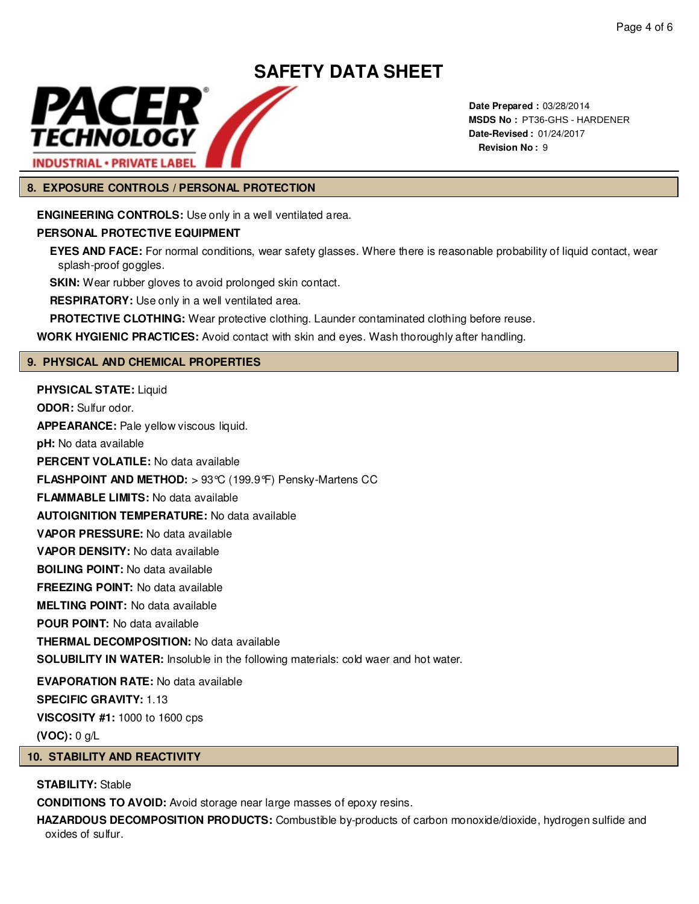

**Date Prepared :** 03/28/2014 **MSDS No :**  PT36-GHS - HARDENER**Date-Revised :** 01/24/2017 **Revision No :** 9

# **8. EXPOSURE CONTROLS / PERSONAL PROTECTION**

**ENGINEERING CONTROLS:** Use only in a well ventilated area.

# **PERSONAL PROTECTIVE EQUIPMENT**

**EYES AND FACE:** For normal conditions, wear safety glasses. Where there is reasonable probability of liquid contact, wear splash-proof goggles.

**SKIN:** Wear rubber gloves to avoid prolonged skin contact.

**RESPIRATORY:** Use only in a well ventilated area.

**PROTECTIVE CLOTHING:** Wear protective clothing. Launder contaminated clothing before reuse.

**WORK HYGIENIC PRACTICES:** Avoid contact with skin and eyes. Wash thoroughly after handling.

# **9. PHYSICAL AND CHEMICAL PROPERTIES**

**PHYSICAL STATE:** Liquid **ODOR:** Sulfur odor. **APPEARANCE:** Pale yellow viscous liquid. **pH:** No data available **PERCENT VOLATILE:** No data available **FLASHPOINT AND METHOD:** > 93°C (199.9°F) Pensky-Martens CC **FLAMMABLE LIMITS:** No data available **AUTOIGNITION TEMPERATURE:** No data available **VAPOR PRESSURE:** No data available **VAPOR DENSITY:** No data available **BOILING POINT:** No data available **FREEZING POINT:** No data available **MELTING POINT:** No data available **POUR POINT:** No data available **THERMAL DECOMPOSITION:** No data available **SOLUBILITY IN WATER:** Insoluble in the following materials: cold waer and hot water. **EVAPORATION RATE:** No data available **SPECIFIC GRAVITY:** 1.13 **VISCOSITY #1:** 1000 to 1600 cps **(VOC):** 0 g/L

# **10. STABILITY AND REACTIVITY**

# **STABILITY:** Stable

**CONDITIONS TO AVOID:** Avoid storage near large masses of epoxy resins.

**HAZARDOUS DECOMPOSITION PRODUCTS:** Combustible by-products of carbon monoxide/dioxide, hydrogen sulfide and oxides of sulfur.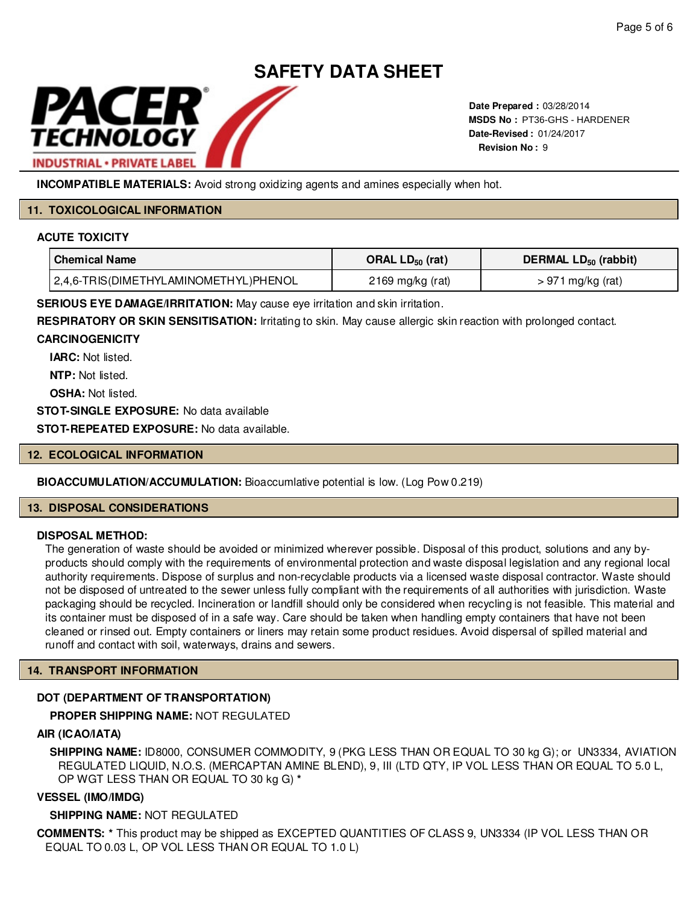

**Date Prepared :** 03/28/2014 **MSDS No : PT36-GHS - HARDENER Date-Revised :** 01/24/2017 **Revision No :** 9

**INCOMPATIBLE MATERIALS:** Avoid strong oxidizing agents and amines especially when hot.

# **11. TOXICOLOGICAL INFORMATION**

# **ACUTE TOXICITY**

| ' Chemical Name                       | ORAL $LD_{50}$ (rat) | DERMAL LD <sub>50</sub> (rabbit) |
|---------------------------------------|----------------------|----------------------------------|
| 2,4,6-TRIS(DIMETHYLAMINOMETHYL)PHENOL | 2169 mg/kg (rat)     | $> 971$ mg/kg (rat)              |

**SERIOUS EYE DAMAGE/IRRITATION:** May cause eye irritation and skin irritation.

**RESPIRATORY OR SKIN SENSITISATION:** Irritating to skin. May cause allergic skin reaction with prolonged contact.

# **CARCINOGENICITY**

**IARC:** Not listed.

**NTP:** Not listed.

**OSHA: Not listed.** 

**STOT-SINGLE EXPOSURE:** No data available

**STOT-REPEATED EXPOSURE:** No data available.

# **12. ECOLOGICAL INFORMATION**

# **BIOACCUMULATION/ACCUMULATION:** Bioaccumlative potential is low. (Log Pow 0.219)

# **13. DISPOSAL CONSIDERATIONS**

# **DISPOSAL METHOD:**

The generation of waste should be avoided or minimized wherever possible. Disposal of this product, solutions and any byproducts should comply with the requirements of environmental protection and waste disposal legislation and any regional local authority requirements. Dispose of surplus and non-recyclable products via a licensed waste disposal contractor. Waste should not be disposed of untreated to the sewer unless fully compliant with the requirements of all authorities with jurisdiction. Waste packaging should be recycled. Incineration or landfill should only be considered when recycling is not feasible. This material and its container must be disposed of in a safe way. Care should be taken when handling empty containers that have not been cleaned or rinsed out. Empty containers or liners may retain some product residues. Avoid dispersal of spilled material and runoff and contact with soil, waterways, drains and sewers. MADS No. PTSe-GHS - HARDENER<br>
Model strong oxidizing agents and amines especially when hot.<br>
Note THYL)PHENOL<br>
(OMETHYL)PHENOL<br>
2169 mg/kg (rat) DERMAL LD<sub>59</sub> (rat)<br>
OMETHYL)PHENOL<br>
2169 mg/kg (rat) > 971 mg/kg (rat)<br>
1TON

# **14. TRANSPORT INFORMATION**

# **DOT (DEPARTMENT OF TRANSPORTATION)**

# **PROPER SHIPPING NAME:**

# **AIR (ICAO/IATA)**

**SHIPPING NAME:** ID8000, CONSUMER COMMODITY, 9 (PKG LESS THAN OR EQUAL TO 30 kg G); or UN3334, AVIATION REGULATED LIQUID, N.O.S. (MERCAPTAN AMINE BLEND), 9, III (LTD QTY, IP VOL LESS THAN OR EQUAL TO 5.0 L, OP WGT LESS THAN OR EQUAL TO 30 kg G) **\***

# **VESSEL (IMO/IMDG)**

# **SHIPPING NAME:** NOT REGULATED

**COMMENTS: \*** This product may be shipped as EXCEPTED QUANTITIES OF CLASS 9, UN3334 (IP VOL LESS THAN OR EQUAL TO 0.03 L, OP VOL LESS THAN OR EQUAL TO 1.0 L)